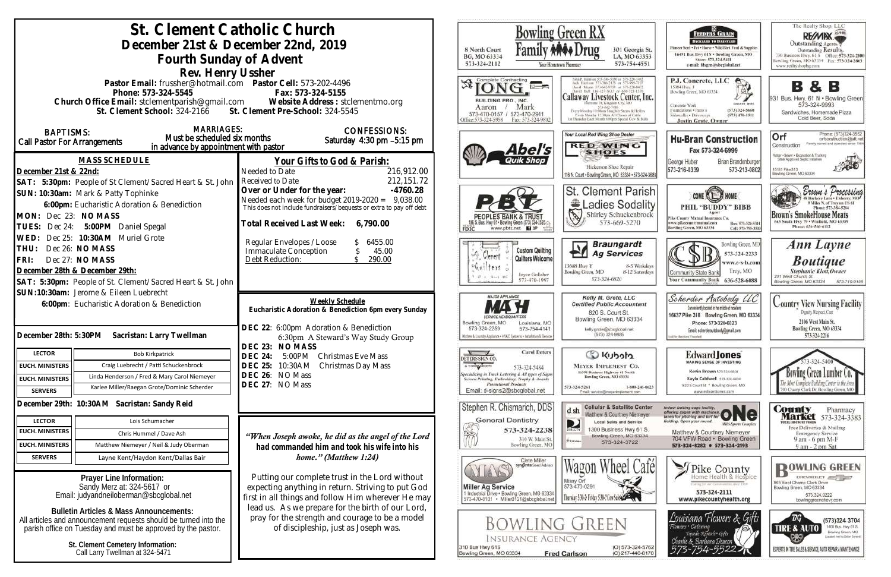|                                                                                         | St. Clement Catholic Church                                                            |                                                                                                                         | <b>Bowling Green RX</b>                                                                |                                                                                                                                                                           |
|-----------------------------------------------------------------------------------------|----------------------------------------------------------------------------------------|-------------------------------------------------------------------------------------------------------------------------|----------------------------------------------------------------------------------------|---------------------------------------------------------------------------------------------------------------------------------------------------------------------------|
|                                                                                         | December 21st & December 22nd, 2019                                                    |                                                                                                                         |                                                                                        |                                                                                                                                                                           |
|                                                                                         |                                                                                        |                                                                                                                         | 8 North Court<br>BG, MO 63334                                                          | 301 Georgia St.<br>LA, MO 63353                                                                                                                                           |
|                                                                                         | Fourth Sunday of Advent                                                                |                                                                                                                         | 573-324-2112                                                                           | 573-754-4551<br>Your Hometown Pharmacy                                                                                                                                    |
|                                                                                         | Rev. Henry Ussher                                                                      |                                                                                                                         | Complete Contracting                                                                   |                                                                                                                                                                           |
|                                                                                         | Pastor Email: frussher@hotmail.com    Pastor Cell: 573-202-4496<br>Phone: 573-324-5545 | Fax: 573-324-5155                                                                                                       |                                                                                        |                                                                                                                                                                           |
|                                                                                         |                                                                                        | Church Office Email: stclementparish@gmail.com Website Address : stclementmo.org                                        | BUILDING PRO., INC.                                                                    | Callaway Livestock Center, Inc.                                                                                                                                           |
|                                                                                         | St. Clement School: 324-2166 St. Clement Pre-School: 324-5545                          |                                                                                                                         | Aaron<br>573-470-0157 / 573-470-2911                                                   | Mark<br>573-643-7486<br>Every Monday 10:00am Slinghter Steers & Heilers<br>Every Monday 12:30pts All Classes of Cattle<br>at Thursday Each Month 6:00nm Stayral Cow & But |
|                                                                                         | <b>MARRIAGES:</b>                                                                      | <b>CONFESSIONS:</b>                                                                                                     | Hiice:573-324-5958                                                                     | Fax: 573-324-9802                                                                                                                                                         |
| <b>BAPTISMS:</b><br>Must be scheduled six months<br><b>Call Pastor For Arrangements</b> |                                                                                        | Saturday 4:30 pm -5:15 pm                                                                                               |                                                                                        | Your Local Red Wing Shoe Dealer                                                                                                                                           |
|                                                                                         | in advance by appointment with pastor                                                  |                                                                                                                         |                                                                                        | <b>RED WING</b><br>Abel's<br><b>SHOES</b>                                                                                                                                 |
|                                                                                         | <b>MASS SCHEDULE</b>                                                                   | <u>Your Gifts to God &amp; Parish:</u>                                                                                  |                                                                                        |                                                                                                                                                                           |
| December 21st & 22nd:                                                                   |                                                                                        | 216,912.00<br>Needed to Date                                                                                            |                                                                                        | Hickerson Shoe Repair<br>116 N. Court . Bowling Green, MO 63334 . 573-324-368                                                                                             |
|                                                                                         | SAT: 5:30pm: People of St Clement/Sacred Heart & St. John                              | 212, 151. 72<br>Received to Date<br>Over or Under for the year:<br>$-4760.28$                                           |                                                                                        |                                                                                                                                                                           |
|                                                                                         | SUN: 10:30am: Mark & Patty Tophinke                                                    |                                                                                                                         |                                                                                        | St. Clement Parish                                                                                                                                                        |
|                                                                                         | 6:00pm: Eucharistic Adoration & Benediction                                            | Needed each week for budget 2019-2020 = 9,038.00<br>This does not include fundraisers/bequests or extra to pay off debt |                                                                                        | Ladies Sodality<br>$\mathbb{Z}$                                                                                                                                           |
| MON: Dec 23: NO MASS                                                                    |                                                                                        | Total Received Last Week:<br>6,790.00                                                                                   |                                                                                        | 573-669-5270                                                                                                                                                              |
| Dec 24:<br>TUES:<br>WED:                                                                | 5:00PM Daniel Spegal<br>Dec 25: 10:30AM Muriel Grote                                   |                                                                                                                         |                                                                                        | www.pbtc.net <b>KI</b>                                                                                                                                                    |
| THU:                                                                                    | Dec 26: NO MASS                                                                        | Regular Envelopes / Loose<br>6455.00<br>Immaculate Conception<br>45.00                                                  |                                                                                        | <b>Braungardt</b><br><b>Custom Quilting</b>                                                                                                                               |
| FRI:                                                                                    | Dec 27: NO MASS                                                                        | 290.00<br>Debt Reduction:                                                                                               | Gerent                                                                                 | <b>Ag Services</b><br>FΓ<br>Quilters Welcome                                                                                                                              |
| December 28th & December 29th:                                                          |                                                                                        |                                                                                                                         |                                                                                        | 13688 Huy Y<br>8-5 Weekdays<br>Bowling Green, MO<br>8-12 Saturdays<br>Joyce Gollaher                                                                                      |
|                                                                                         | SAT: 5:30pm: People of St. Clement/Sacred Heart & St. John                             |                                                                                                                         |                                                                                        | 573-324-6820<br>573-470-1997                                                                                                                                              |
| SUN:10:30am: Jerome & Eileen Luebrecht                                                  |                                                                                        |                                                                                                                         | <b>MAJOR APPLIANCE</b>                                                                 | Kelly M. Grote, LLC                                                                                                                                                       |
| 6:00pm: Eucharistic Adoration & Benediction                                             |                                                                                        | Weekly Schedule<br>Eucharistic Adoration & Benediction 6pm every Sunday                                                 |                                                                                        | <b>Certified Public Accountant</b>                                                                                                                                        |
|                                                                                         |                                                                                        |                                                                                                                         | Bowling Green, MO                                                                      | 820 S. Court St.<br>Bowling Green, MO 63334<br>Louisiana, MO                                                                                                              |
| December 28th: 5:30PM                                                                   | Sacristan: Larry Twellman                                                              | DEC 22: 6:00pm Adoration & Benediction                                                                                  | 573-324-2259<br>Kitchen & Laundry Appliance • MVAC Systems • Installation & Service    | 573-754-4141<br>kelly.grote@sbcglobal.net<br>(573) 324-9885                                                                                                               |
|                                                                                         |                                                                                        | 6:30pm A Steward's Way Study Group<br>DEC 23: NO MASS                                                                   |                                                                                        |                                                                                                                                                                           |
| <b>LECTOR</b>                                                                           | <b>Bob Kirkpatrick</b>                                                                 | <b>DEC 24:</b><br>5:00PM<br><b>Christmas Eve Mass</b>                                                                   | DETERS SIGN CO.                                                                        | <b>Carol Deters</b><br>Colcolu                                                                                                                                            |
| <b>EUCH. MINISTERS</b>                                                                  | Craig Luebrecht / Patti Schuckenbrock                                                  | DEC 25: 10:30AM<br>Christmas Day Mass                                                                                   | A T-SHIRT SHOPPE<br>pecializing in Truck Lettering & All types of Signs                | <b>MEYER IMPLEMENT CO.</b><br>573-324-5484<br>16398 Business Highway 61 North                                                                                             |
| <b>EUCH. MINISTERS</b>                                                                  | Linda Henderson / Fred & Mary Carol Niemeyer                                           | DEC 26: NO Mass<br>DEC 27: NO Mass                                                                                      | Screen Printing, Embroidery, Trophy & Awards<br><b>Promotional Products</b>            | Bowling Green, MO 63334                                                                                                                                                   |
| <b>SERVERS</b>                                                                          | Karlee Miller/Raegan Grote/Dominic Scherder                                            |                                                                                                                         | Email: d-signs2@sbcglobal.net                                                          | 573-324-5261<br>1-800-246-0623<br>Email: service@mayerimplement.com                                                                                                       |
|                                                                                         | December 29th: 10:30AM Sacristan: Sandy Reid                                           |                                                                                                                         | Stephen R. Chismarich, DDS                                                             | <b>Cellular &amp; Satellite Center</b><br>d sh                                                                                                                            |
| <b>LECTOR</b>                                                                           | Lois Schumacher                                                                        |                                                                                                                         | <b>General Dentistry</b>                                                               | Matthew & Courtney Niemeyer<br><b>Local Sales and Service</b><br>D                                                                                                        |
| <b>EUCH. MINISTERS</b>                                                                  | Chris Hummel / Dave Ash                                                                | "When Joseph awoke, he did as the angel of the Lord                                                                     |                                                                                        | 573-324-2238<br>1300 Business Hwy 61 S.<br>BIRECTY<br>Bowling Green, MO 63334                                                                                             |
| <b>EUCH. MINISTERS</b>                                                                  | Matthew Niemeyer / Neil & Judy Oberman                                                 | had commanded him and took his wife into his                                                                            |                                                                                        | 310 W. Main St.<br>PUIDBE<br>573-324-3722<br>Bowling Green, MO                                                                                                            |
| <b>SERVERS</b>                                                                          | Layne Kent/Haydon Kent/Dallas Bair                                                     | home." (Matthew 1:24)                                                                                                   |                                                                                        | Clete Miller                                                                                                                                                              |
|                                                                                         |                                                                                        |                                                                                                                         |                                                                                        | syngenta Seed Adviso                                                                                                                                                      |
|                                                                                         | Prayer Line Information:<br>Sandy Merz at: 324-5617 or                                 | Putting our complete trust in the Lord without                                                                          | <b>Miller Ag Service</b>                                                               | Missy Orf<br>573-470-0291                                                                                                                                                 |
| Email: judyandneiloberman@sbcglobal.net                                                 |                                                                                        | expecting anything in return. Striving to put God<br>first in all things and follow Him wherever He may                 | 1 Industrial Drive . Bowling Green, MO 63334<br>573-470-0101 · Miller0121@sbcglobal.ne | Thursday 5:34-2 Eriday 5:34-2 Con Sales                                                                                                                                   |
|                                                                                         | <b>Bulletin Articles &amp; Mass Announcements:</b>                                     | lead us. As we prepare for the birth of our Lord,                                                                       |                                                                                        |                                                                                                                                                                           |
| All articles and announcement requests should be turned into the                        |                                                                                        | pray for the strength and courage to be a model                                                                         |                                                                                        | <b>BOWLING GREEN</b>                                                                                                                                                      |
|                                                                                         | parish office on Tuesday and must be approved by the pastor.                           | of discipleship, just as Joseph was.                                                                                    |                                                                                        |                                                                                                                                                                           |
|                                                                                         | St. Clement Cemetery Information:                                                      |                                                                                                                         | 310 Bus Hwy 61S                                                                        | <b>INSURANCE AGENCY</b><br>(O) 573-324-5762                                                                                                                               |
| Call Larry Twellman at 324-5471                                                         |                                                                                        |                                                                                                                         | Bowling Green, MO 63334                                                                | (C) 217-440-6170<br><b>Fred Carlson</b>                                                                                                                                   |